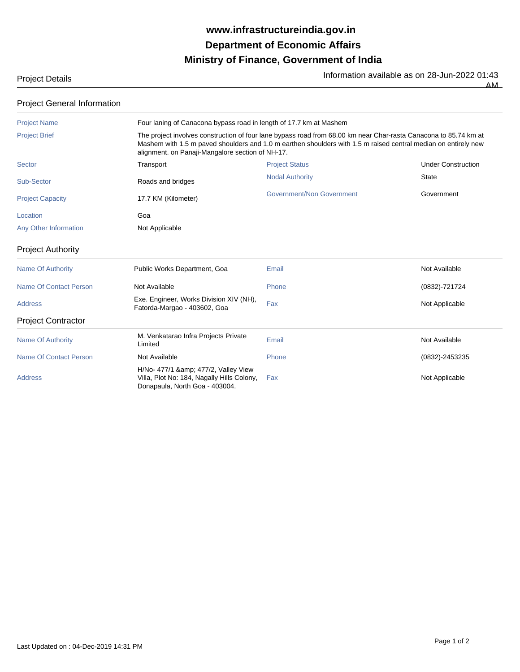## **Ministry of Finance, Government of India Department of Economic Affairs www.infrastructureindia.gov.in**

Project Details **Information available as on 28-Jun-2022 01:43** 

AM

| <b>Project General Information</b> |
|------------------------------------|
|------------------------------------|

| <b>Project Name</b>           | Four laning of Canacona bypass road in length of 17.7 km at Mashem                                                                                                                                                                                                                     |                                  |                           |  |
|-------------------------------|----------------------------------------------------------------------------------------------------------------------------------------------------------------------------------------------------------------------------------------------------------------------------------------|----------------------------------|---------------------------|--|
| <b>Project Brief</b>          | The project involves construction of four lane bypass road from 68.00 km near Char-rasta Canacona to 85.74 km at<br>Mashem with 1.5 m paved shoulders and 1.0 m earthen shoulders with 1.5 m raised central median on entirely new<br>alignment. on Panaji-Mangalore section of NH-17. |                                  |                           |  |
| <b>Sector</b>                 | Transport                                                                                                                                                                                                                                                                              | <b>Project Status</b>            | <b>Under Construction</b> |  |
| Sub-Sector                    | Roads and bridges                                                                                                                                                                                                                                                                      | <b>Nodal Authority</b>           | <b>State</b>              |  |
| <b>Project Capacity</b>       | 17.7 KM (Kilometer)                                                                                                                                                                                                                                                                    | <b>Government/Non Government</b> | Government                |  |
| Location                      | Goa                                                                                                                                                                                                                                                                                    |                                  |                           |  |
| Any Other Information         | Not Applicable                                                                                                                                                                                                                                                                         |                                  |                           |  |
| <b>Project Authority</b>      |                                                                                                                                                                                                                                                                                        |                                  |                           |  |
| <b>Name Of Authority</b>      | Public Works Department, Goa                                                                                                                                                                                                                                                           | Email                            | Not Available             |  |
| <b>Name Of Contact Person</b> | Not Available                                                                                                                                                                                                                                                                          | Phone                            | (0832)-721724             |  |
| <b>Address</b>                | Exe. Engineer, Works Division XIV (NH),<br>Fatorda-Margao - 403602, Goa                                                                                                                                                                                                                | Fax                              | Not Applicable            |  |
| <b>Project Contractor</b>     |                                                                                                                                                                                                                                                                                        |                                  |                           |  |
| <b>Name Of Authority</b>      | M. Venkatarao Infra Projects Private<br>Limited                                                                                                                                                                                                                                        | Email                            | Not Available             |  |
| <b>Name Of Contact Person</b> | Not Available                                                                                                                                                                                                                                                                          | Phone                            | (0832)-2453235            |  |
| <b>Address</b>                | H/No- 477/1 & amp; 477/2, Valley View<br>Villa, Plot No: 184, Nagally Hills Colony,<br>Donapaula, North Goa - 403004.                                                                                                                                                                  | Fax                              | Not Applicable            |  |